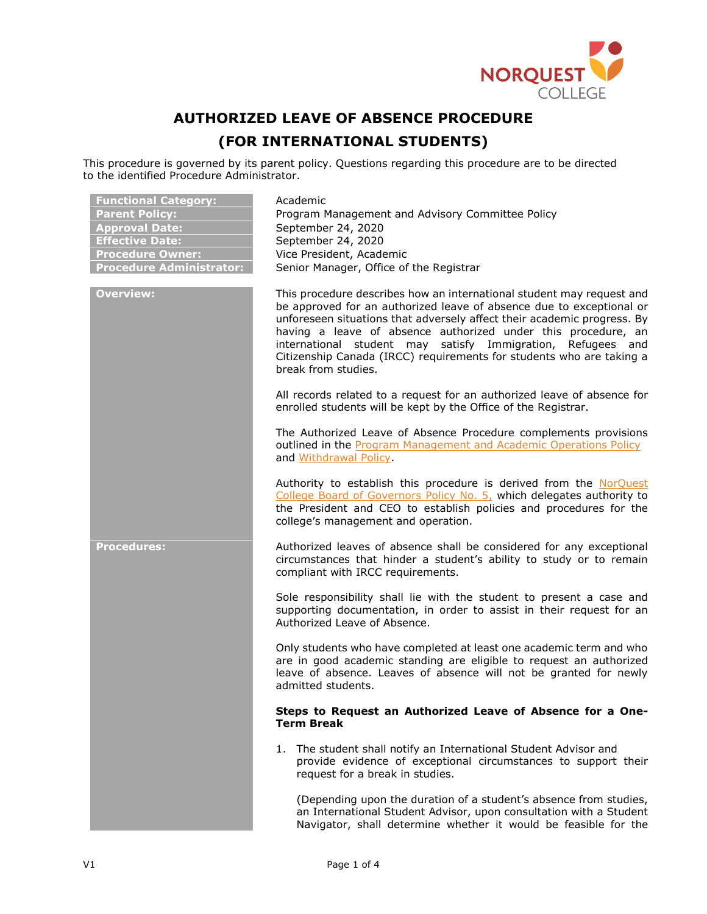

## **AUTHORIZED LEAVE OF ABSENCE PROCEDURE**

## **(FOR INTERNATIONAL STUDENTS)**

This procedure is governed by its parent policy. Questions regarding this procedure are to be directed to the identified Procedure Administrator.

| <b>Functional Category:</b><br><b>Parent Policy:</b><br><b>Approval Date:</b><br><b>Effective Date:</b><br><b>Procedure Owner:</b><br><b>Procedure Administrator:</b> | Academic<br>Program Management and Advisory Committee Policy<br>September 24, 2020<br>September 24, 2020<br>Vice President, Academic<br>Senior Manager, Office of the Registrar                                                                                                                                                                                                                                                                            |
|-----------------------------------------------------------------------------------------------------------------------------------------------------------------------|------------------------------------------------------------------------------------------------------------------------------------------------------------------------------------------------------------------------------------------------------------------------------------------------------------------------------------------------------------------------------------------------------------------------------------------------------------|
| <b>Overview:</b>                                                                                                                                                      | This procedure describes how an international student may request and<br>be approved for an authorized leave of absence due to exceptional or<br>unforeseen situations that adversely affect their academic progress. By<br>having a leave of absence authorized under this procedure, an<br>international student may satisfy Immigration,<br>Refugees and<br>Citizenship Canada (IRCC) requirements for students who are taking a<br>break from studies. |
|                                                                                                                                                                       | All records related to a request for an authorized leave of absence for<br>enrolled students will be kept by the Office of the Registrar.                                                                                                                                                                                                                                                                                                                  |
|                                                                                                                                                                       | The Authorized Leave of Absence Procedure complements provisions<br>outlined in the Program Management and Academic Operations Policy<br>and Withdrawal Policy.                                                                                                                                                                                                                                                                                            |
|                                                                                                                                                                       | Authority to establish this procedure is derived from the NorQuest<br>College Board of Governors Policy No. 5, which delegates authority to<br>the President and CEO to establish policies and procedures for the<br>college's management and operation.                                                                                                                                                                                                   |
| <b>Procedures:</b>                                                                                                                                                    | Authorized leaves of absence shall be considered for any exceptional<br>circumstances that hinder a student's ability to study or to remain<br>compliant with IRCC requirements.                                                                                                                                                                                                                                                                           |
|                                                                                                                                                                       | Sole responsibility shall lie with the student to present a case and<br>supporting documentation, in order to assist in their request for an<br>Authorized Leave of Absence.                                                                                                                                                                                                                                                                               |
|                                                                                                                                                                       | Only students who have completed at least one academic term and who<br>are in good academic standing are eligible to request an authorized<br>leave of absence. Leaves of absence will not be granted for newly<br>admitted students.                                                                                                                                                                                                                      |
|                                                                                                                                                                       | Steps to Request an Authorized Leave of Absence for a One-<br><b>Term Break</b>                                                                                                                                                                                                                                                                                                                                                                            |
|                                                                                                                                                                       | 1. The student shall notify an International Student Advisor and<br>provide evidence of exceptional circumstances to support their<br>request for a break in studies.                                                                                                                                                                                                                                                                                      |
|                                                                                                                                                                       | (Depending upon the duration of a student's absence from studies,<br>an International Student Advisor, upon consultation with a Student<br>Navigator, shall determine whether it would be feasible for the                                                                                                                                                                                                                                                 |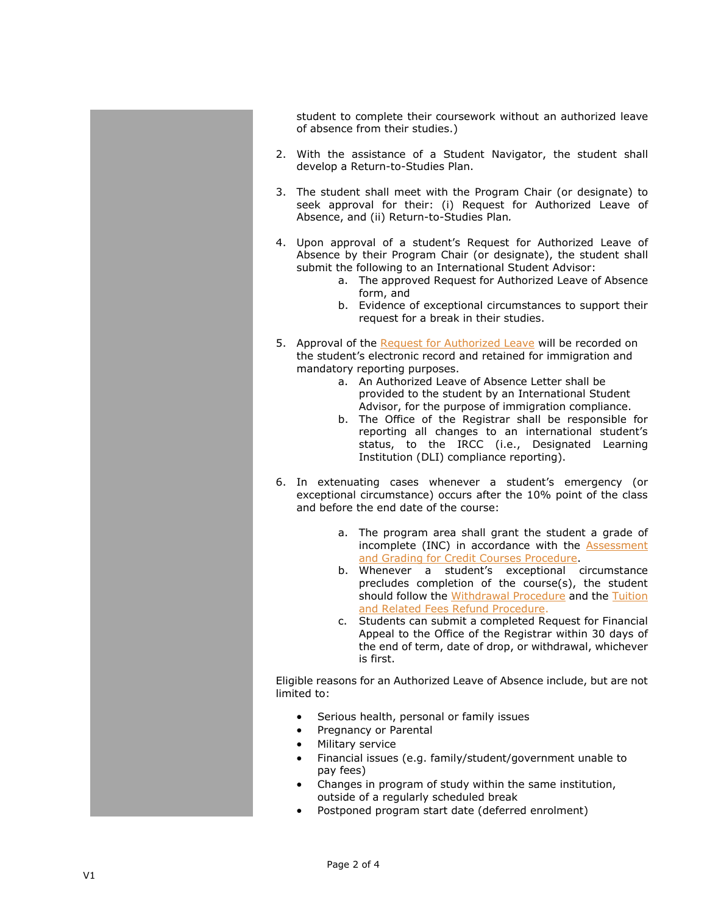student to complete their coursework without an authorized leave of absence from their studies.)

- 2. With the assistance of a Student Navigator, the student shall develop a Return-to-Studies Plan.
- 3. The student shall meet with the Program Chair (or designate) to seek approval for their: (i) Request for Authorized Leave of Absence, and (ii) Return-to-Studies Plan*.*
- 4. Upon approval of a student's Request for Authorized Leave of Absence by their Program Chair (or designate), the student shall submit the following to an International Student Advisor:
	- a. The approved Request for Authorized Leave of Absence form, and
	- b. Evidence of exceptional circumstances to support their request for a break in their studies.
- 5. Approval of the [Request for Authorized Leave](https://theq.norquest.ca/Departments/Policies-and-Regulatory-Compliance/Public-Wiki/Policy-and-Procedure-Toolkit.aspx) will be recorded on the student's electronic record and retained for immigration and mandatory reporting purposes.
	- a. An Authorized Leave of Absence Letter shall be provided to the student by an International Student Advisor, for the purpose of immigration compliance.
	- b. The Office of the Registrar shall be responsible for reporting all changes to an international student's status, to the IRCC (i.e., Designated Learning Institution (DLI) compliance reporting).
- 6. In extenuating cases whenever a student's emergency (or exceptional circumstance) occurs after the 10% point of the class and before the end date of the course:
	- a. The program area shall grant the student a grade of incomplete (INC) in accordance with the [Assessment](https://www.norquest.ca/about-us/policies-procedures/academic/assessment-and-grading-policy/assessment-and-grading-for-credit-courses-procedur.aspx)  [and Grading for Credit Courses Procedure.](https://www.norquest.ca/about-us/policies-procedures/academic/assessment-and-grading-policy/assessment-and-grading-for-credit-courses-procedur.aspx)
	- b. Whenever a student's exceptional circumstance precludes completion of the course(s), the student should follow the [Withdrawal Procedure](https://www.norquest.ca/about-us/policies-procedures/academic/withdrawal-policy/withdrawal-procedure.aspx) and the Tuition [and Related Fees Refund Procedure.](https://www.norquest.ca/about-us/policies-procedures/academic/tuition-and-related-fees-policy/tuition-and-related-fees-refund-procedure.aspx)
	- c. Students can submit a completed Request for Financial Appeal to the Office of the Registrar within 30 days of the end of term, date of drop, or withdrawal, whichever is first.

Eligible reasons for an Authorized Leave of Absence include, but are not limited to:

- Serious health, personal or family issues
- Pregnancy or Parental
- Military service
- Financial issues (e.g. family/student/government unable to pay fees)
- Changes in program of study within the same institution, outside of a regularly scheduled break
- Postponed program start date (deferred enrolment)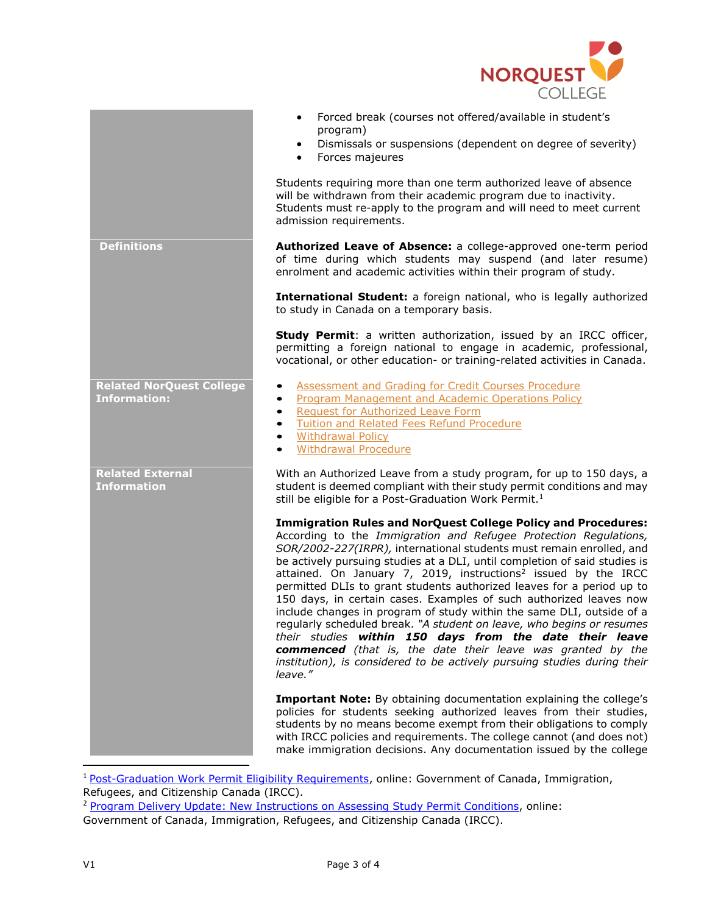

|                                                        | Forced break (courses not offered/available in student's<br>$\bullet$<br>program)<br>Dismissals or suspensions (dependent on degree of severity)<br>$\bullet$<br>Forces majeures<br>$\bullet$                                                                                                                                                                                                                                                                                                                                                                                                                                                                                                                                                                                                                                                                                                  |
|--------------------------------------------------------|------------------------------------------------------------------------------------------------------------------------------------------------------------------------------------------------------------------------------------------------------------------------------------------------------------------------------------------------------------------------------------------------------------------------------------------------------------------------------------------------------------------------------------------------------------------------------------------------------------------------------------------------------------------------------------------------------------------------------------------------------------------------------------------------------------------------------------------------------------------------------------------------|
|                                                        | Students requiring more than one term authorized leave of absence<br>will be withdrawn from their academic program due to inactivity.<br>Students must re-apply to the program and will need to meet current<br>admission requirements.                                                                                                                                                                                                                                                                                                                                                                                                                                                                                                                                                                                                                                                        |
| <b>Definitions</b>                                     | Authorized Leave of Absence: a college-approved one-term period<br>of time during which students may suspend (and later resume)<br>enrolment and academic activities within their program of study.                                                                                                                                                                                                                                                                                                                                                                                                                                                                                                                                                                                                                                                                                            |
|                                                        | International Student: a foreign national, who is legally authorized<br>to study in Canada on a temporary basis.                                                                                                                                                                                                                                                                                                                                                                                                                                                                                                                                                                                                                                                                                                                                                                               |
|                                                        | Study Permit: a written authorization, issued by an IRCC officer,<br>permitting a foreign national to engage in academic, professional,<br>vocational, or other education- or training-related activities in Canada.                                                                                                                                                                                                                                                                                                                                                                                                                                                                                                                                                                                                                                                                           |
| <b>Related NorQuest College</b><br><b>Information:</b> | <b>Assessment and Grading for Credit Courses Procedure</b><br><b>Program Management and Academic Operations Policy</b><br>$\bullet$<br><b>Request for Authorized Leave Form</b><br>$\bullet$<br><b>Tuition and Related Fees Refund Procedure</b><br>$\bullet$<br><b>Withdrawal Policy</b><br>$\bullet$<br><b>Withdrawal Procedure</b><br>$\bullet$                                                                                                                                                                                                                                                                                                                                                                                                                                                                                                                                             |
| <b>Related External</b><br><b>Information</b>          | With an Authorized Leave from a study program, for up to 150 days, a<br>student is deemed compliant with their study permit conditions and may<br>still be eligible for a Post-Graduation Work Permit. <sup>1</sup>                                                                                                                                                                                                                                                                                                                                                                                                                                                                                                                                                                                                                                                                            |
|                                                        | <b>Immigration Rules and NorQuest College Policy and Procedures:</b><br>According to the Immigration and Refugee Protection Regulations,<br>SOR/2002-227(IRPR), international students must remain enrolled, and<br>be actively pursuing studies at a DLI, until completion of said studies is<br>attained. On January 7, 2019, instructions <sup>2</sup> issued by the IRCC<br>permitted DLIs to grant students authorized leaves for a period up to<br>150 days, in certain cases. Examples of such authorized leaves now<br>include changes in program of study within the same DLI, outside of a<br>regularly scheduled break. "A student on leave, who begins or resumes<br>their studies within 150 days from the date their leave<br>commenced (that is, the date their leave was granted by the<br>institution), is considered to be actively pursuing studies during their<br>leave." |
|                                                        | <b>Important Note:</b> By obtaining documentation explaining the college's<br>policies for students seeking authorized leaves from their studies,<br>students by no means become exempt from their obligations to comply<br>with IRCC policies and requirements. The college cannot (and does not)<br>make immigration decisions. Any documentation issued by the college                                                                                                                                                                                                                                                                                                                                                                                                                                                                                                                      |

<sup>&</sup>lt;sup>1</sup> [Post-Graduation Work Permit Eligibility Requirements,](https://www.canada.ca/en/immigration-refugees-citizenship/services/study-canada/work/after-graduation/eligibility.html#leave) online: Government of Canada, Immigration, Refugees, and Citizenship Canada (IRCC).

l

<sup>&</sup>lt;sup>2</sup> [Program Delivery Update: New Instructions on Assessing Study Permit Conditions,](https://www.canada.ca/en/immigration-refugees-citizenship/corporate/publications-manuals/operational-bulletins-manuals/temporary-residents/study-permits/assessing-conditions.html) online: Government of Canada, Immigration, Refugees, and Citizenship Canada (IRCC).